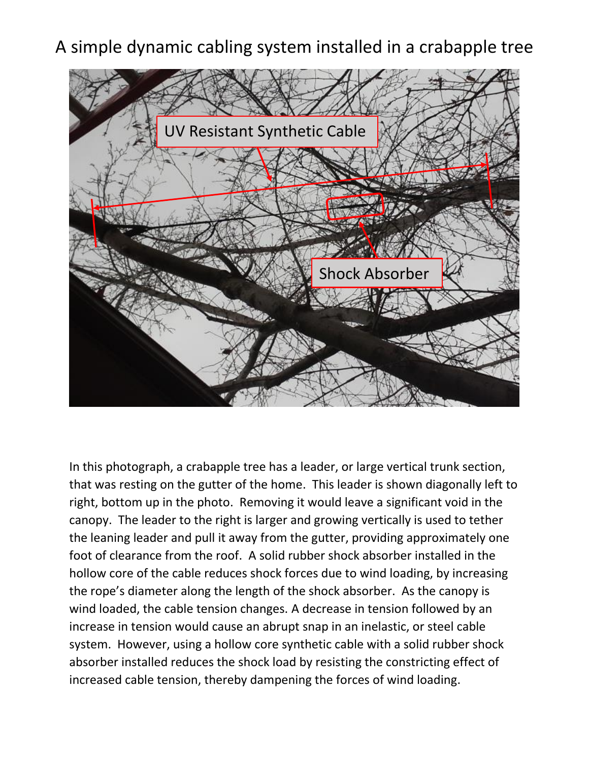## A simple dynamic cabling system installed in a crabapple tree



In this photograph, a crabapple tree has a leader, or large vertical trunk section, that was resting on the gutter of the home. This leader is shown diagonally left to right, bottom up in the photo. Removing it would leave a significant void in the canopy. The leader to the right is larger and growing vertically is used to tether the leaning leader and pull it away from the gutter, providing approximately one foot of clearance from the roof. A solid rubber shock absorber installed in the hollow core of the cable reduces shock forces due to wind loading, by increasing the rope's diameter along the length of the shock absorber. As the canopy is wind loaded, the cable tension changes. A decrease in tension followed by an increase in tension would cause an abrupt snap in an inelastic, or steel cable system. However, using a hollow core synthetic cable with a solid rubber shock absorber installed reduces the shock load by resisting the constricting effect of increased cable tension, thereby dampening the forces of wind loading.